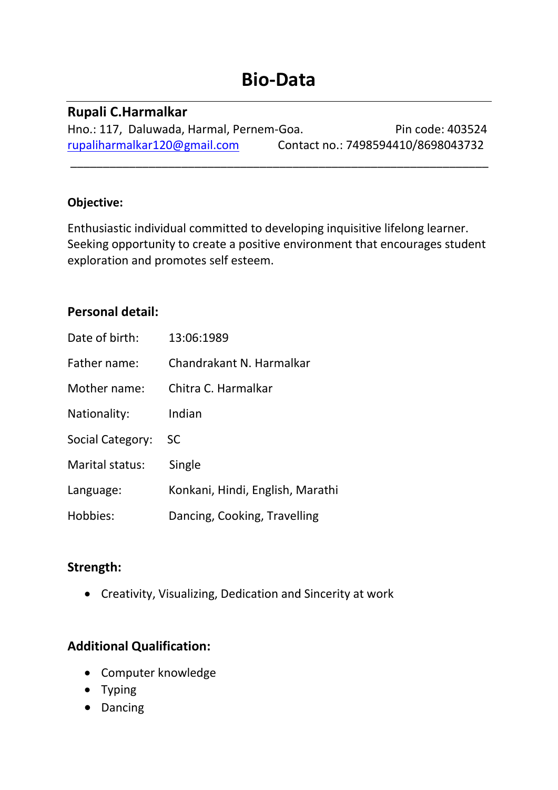# **Bio-Data**

#### **Rupali C.Harmalkar**

Hno.: 117, Daluwada, Harmal, Pernem-Goa. Pin code: 403524 [rupaliharmalkar120@gmail.com](mailto:rupaliharmalkar120@gmail.com) Contact no.: 7498594410/8698043732

\_\_\_\_\_\_\_\_\_\_\_\_\_\_\_\_\_\_\_\_\_\_\_\_\_\_\_\_\_\_\_\_\_\_\_\_\_\_\_\_\_\_\_\_\_\_\_\_\_\_\_\_\_\_\_\_\_\_\_\_\_\_\_\_

#### **Objective:**

Enthusiastic individual committed to developing inquisitive lifelong learner. Seeking opportunity to create a positive environment that encourages student exploration and promotes self esteem.

# **Personal detail:**

| Date of birth:   | 13:06:1989                       |
|------------------|----------------------------------|
| Father name:     | Chandrakant N. Harmalkar         |
| Mother name:     | Chitra C. Harmalkar              |
| Nationality:     | Indian                           |
| Social Category: | SC                               |
| Marital status:  | Single                           |
| Language:        | Konkani, Hindi, English, Marathi |
| Hobbies:         | Dancing, Cooking, Travelling     |

# **Strength:**

• Creativity, Visualizing, Dedication and Sincerity at work

# **Additional Qualification:**

- Computer knowledge
- Typing
- Dancing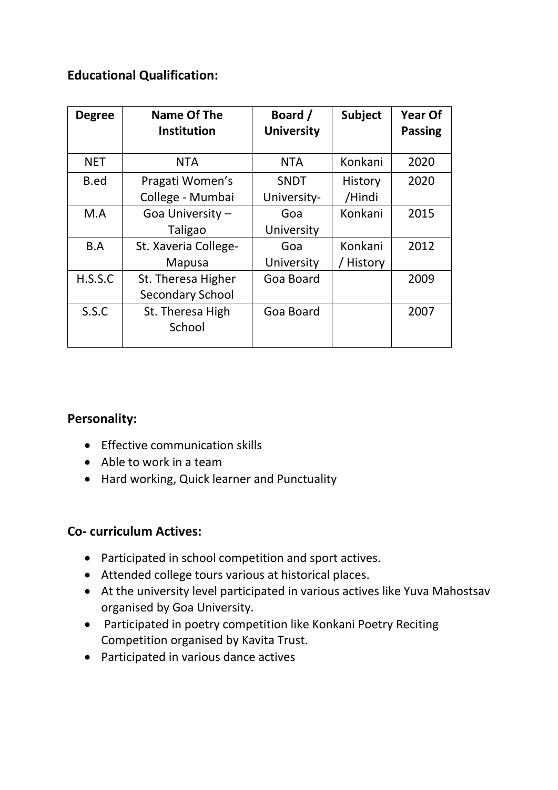# **Educational Qualification:**

| <b>Degree</b> | Name Of The<br><b>Institution</b>             | Board /<br><b>University</b> | <b>Subject</b>       | <b>Year Of</b><br><b>Passing</b> |
|---------------|-----------------------------------------------|------------------------------|----------------------|----------------------------------|
| <b>NET</b>    | <b>NTA</b>                                    | <b>NTA</b>                   | Konkani              | 2020                             |
| B.ed          | Pragati Women's<br>College - Mumbai           | <b>SNDT</b><br>University-   | History<br>/Hindi    | 2020                             |
| M.A           | Goa University -<br>Taligao                   | Goa<br>University            | Konkani              | 2015                             |
| B.A           | St. Xaveria College-<br>Mapusa                | Goa<br>University            | Konkani<br>/ History | 2012                             |
| H.S.S.C       | St. Theresa Higher<br><b>Secondary School</b> | Goa Board                    |                      | 2009                             |
| S.S.C         | St. Theresa High<br>School                    | Goa Board                    |                      | 2007                             |

#### **Personality:**

- Effective communication skills
- Able to work in a team
- Hard working, Quick learner and Punctuality

#### **Co- curriculum Actives:**

- Participated in school competition and sport actives.
- Attended college tours various at historical places.
- At the university level participated in various actives like Yuva Mahostsav organised by Goa University.
- Participated in poetry competition like Konkani Poetry Reciting Competition organised by Kavita Trust.
- Participated in various dance actives